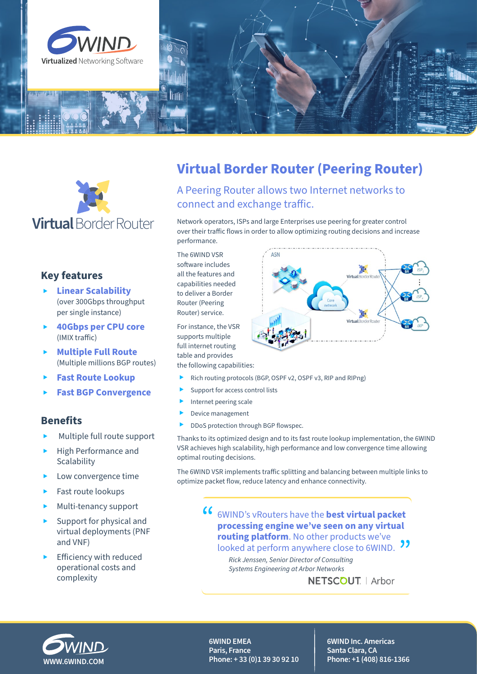



# **Key features**

- ▸ **Linear Scalability**  (over 300Gbps throughput per single instance)
- ▸ **40Gbps per CPU core**  (IMIX traffic)
- ▸ **Multiple Full Route**  (Multiple millions BGP routes)
- ▸ **Fast Route Lookup**
- ▸ **Fast BGP Convergence**

## **Benefits**

- Multiple full route support
- ▸ High Performance and **Scalability**
- Low convergence time
- Fast route lookups
- Multi-tenancy support
- Support for physical and virtual deployments (PNF and VNF)
- Efficiency with reduced operational costs and complexity

# **Virtual Border Router (Peering Router)**

A Peering Router allows two Internet networks to connect and exchange traffic.

Network operators, ISPs and large Enterprises use peering for greater control over their traffic flows in order to allow optimizing routing decisions and increase performance.

The 6WIND VSR software includes all the features and capabilities needed to deliver a Border Router (Peering Router) service.

For instance, the VSR supports multiple full internet routing table and provides the following capabilities:

- ▸ Rich routing protocols (BGP, OSPF v2, OSPF v3, RIP and RIPng)
- Support for access control lists
- Internet peering scale
- Device management
- ▶ DDoS protection through BGP flowspec.

Thanks to its optimized design and to its fast route lookup implementation, the 6WIND VSR achieves high scalability, high performance and low convergence time allowing optimal routing decisions.

The 6WIND VSR implements traffic splitting and balancing between multiple links to optimize packet flow, reduce latency and enhance connectivity.

> " 6WIND's vRouters have the **best virtual packet processing engine we've seen on any virtual routing platform**. No other products we've looked at perform anywhere close to 6WIND. **33** *Rick Jenssen, Senior Director of Consulting*

*Systems Engineering at Arbor Networks*

NETSCOUT. | Arbor



**6WIND EMEA Paris, France WWW.6WIND.COM Phone: + 33 (0)1 39 30 92 10**  **6WIND Inc. Americas Santa Clara, CA Phone: +1 (408) 816-1366**